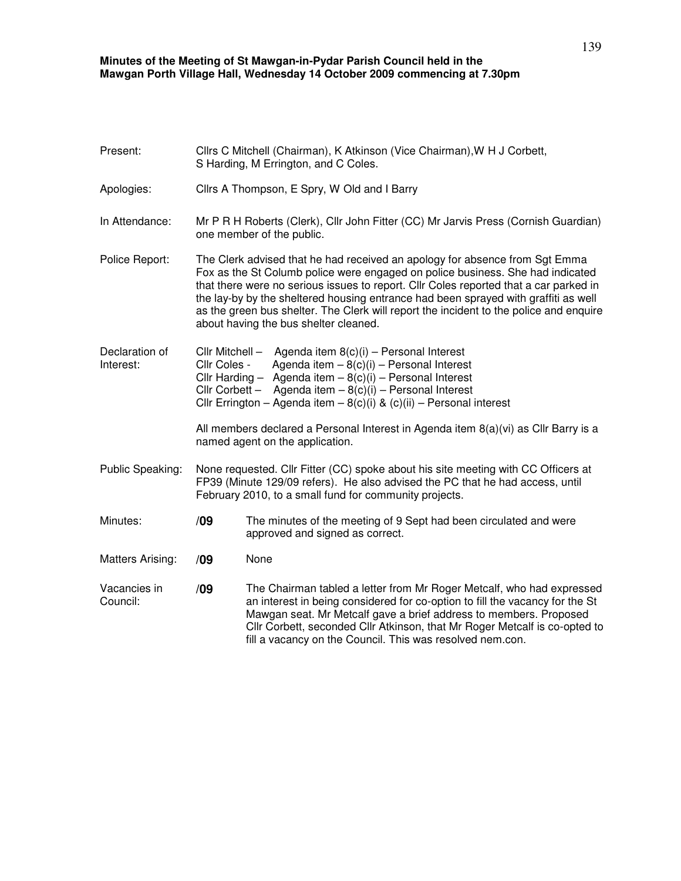## **Minutes of the Meeting of St Mawgan-in-Pydar Parish Council held in the Mawgan Porth Village Hall, Wednesday 14 October 2009 commencing at 7.30pm**

| Present:                    |                                                                                                                                                                                                                                                                                                                                                                                                                                                                                  | Cllrs C Mitchell (Chairman), K Atkinson (Vice Chairman), W H J Corbett,<br>S Harding, M Errington, and C Coles.                                                                                                                                                                                                                                                       |  |  |
|-----------------------------|----------------------------------------------------------------------------------------------------------------------------------------------------------------------------------------------------------------------------------------------------------------------------------------------------------------------------------------------------------------------------------------------------------------------------------------------------------------------------------|-----------------------------------------------------------------------------------------------------------------------------------------------------------------------------------------------------------------------------------------------------------------------------------------------------------------------------------------------------------------------|--|--|
| Apologies:                  | Cllrs A Thompson, E Spry, W Old and I Barry                                                                                                                                                                                                                                                                                                                                                                                                                                      |                                                                                                                                                                                                                                                                                                                                                                       |  |  |
| In Attendance:              | Mr P R H Roberts (Clerk), Cllr John Fitter (CC) Mr Jarvis Press (Cornish Guardian)<br>one member of the public.                                                                                                                                                                                                                                                                                                                                                                  |                                                                                                                                                                                                                                                                                                                                                                       |  |  |
| Police Report:              | The Clerk advised that he had received an apology for absence from Sgt Emma<br>Fox as the St Columb police were engaged on police business. She had indicated<br>that there were no serious issues to report. Cllr Coles reported that a car parked in<br>the lay-by by the sheltered housing entrance had been sprayed with graffiti as well<br>as the green bus shelter. The Clerk will report the incident to the police and enquire<br>about having the bus shelter cleaned. |                                                                                                                                                                                                                                                                                                                                                                       |  |  |
| Declaration of<br>Interest: | Cllr Mitchell -<br>Agenda item $8(c)(i)$ – Personal Interest<br>Agenda item $-8(c)(i)$ – Personal Interest<br>Cllr Coles -<br>Cllr Harding - Agenda item $-8(c)(i)$ - Personal Interest<br>Cllr Corbett - Agenda item $-8(c)(i)$ - Personal Interest<br>Cllr Errington - Agenda item - $8(c)(i)$ & $(c)(ii)$ - Personal interest                                                                                                                                                 |                                                                                                                                                                                                                                                                                                                                                                       |  |  |
|                             | All members declared a Personal Interest in Agenda item 8(a)(vi) as Cllr Barry is a<br>named agent on the application.                                                                                                                                                                                                                                                                                                                                                           |                                                                                                                                                                                                                                                                                                                                                                       |  |  |
| Public Speaking:            | None requested. Cllr Fitter (CC) spoke about his site meeting with CC Officers at<br>FP39 (Minute 129/09 refers). He also advised the PC that he had access, until<br>February 2010, to a small fund for community projects.                                                                                                                                                                                                                                                     |                                                                                                                                                                                                                                                                                                                                                                       |  |  |
| Minutes:                    | /09                                                                                                                                                                                                                                                                                                                                                                                                                                                                              | The minutes of the meeting of 9 Sept had been circulated and were<br>approved and signed as correct.                                                                                                                                                                                                                                                                  |  |  |
| Matters Arising:            | /09                                                                                                                                                                                                                                                                                                                                                                                                                                                                              | None                                                                                                                                                                                                                                                                                                                                                                  |  |  |
| Vacancies in<br>Council:    | /09                                                                                                                                                                                                                                                                                                                                                                                                                                                                              | The Chairman tabled a letter from Mr Roger Metcalf, who had expressed<br>an interest in being considered for co-option to fill the vacancy for the St<br>Mawgan seat. Mr Metcalf gave a brief address to members. Proposed<br>Cllr Corbett, seconded Cllr Atkinson, that Mr Roger Metcalf is co-opted to<br>fill a vacancy on the Council. This was resolved nem.con. |  |  |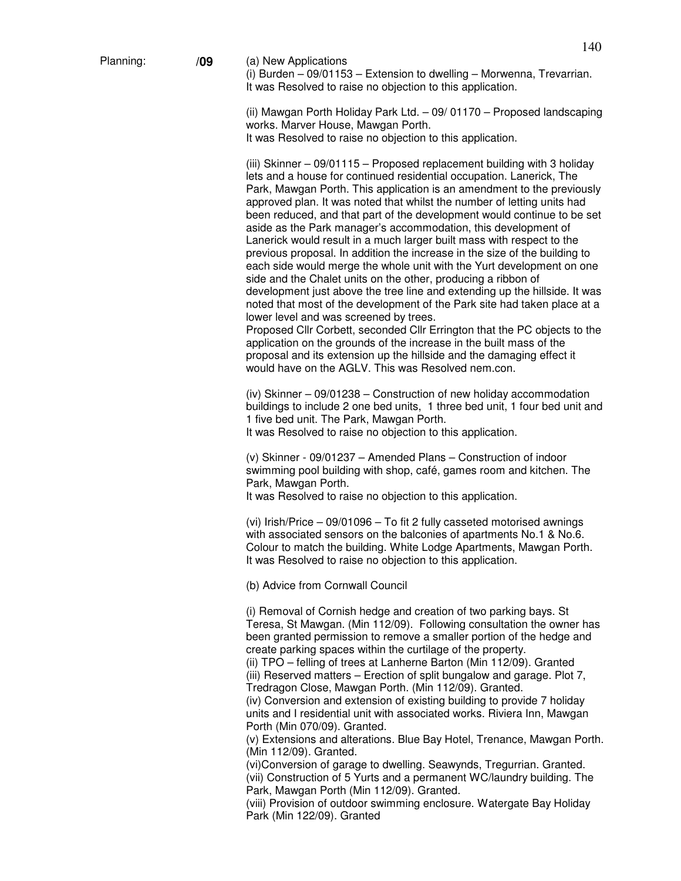(i) Burden – 09/01153 – Extension to dwelling – Morwenna, Trevarrian. It was Resolved to raise no objection to this application.

(ii) Mawgan Porth Holiday Park Ltd. – 09/ 01170 – Proposed landscaping works. Marver House, Mawgan Porth. It was Resolved to raise no objection to this application.

(iii) Skinner – 09/01115 – Proposed replacement building with 3 holiday lets and a house for continued residential occupation. Lanerick, The Park, Mawgan Porth. This application is an amendment to the previously approved plan. It was noted that whilst the number of letting units had been reduced, and that part of the development would continue to be set aside as the Park manager's accommodation, this development of Lanerick would result in a much larger built mass with respect to the previous proposal. In addition the increase in the size of the building to each side would merge the whole unit with the Yurt development on one side and the Chalet units on the other, producing a ribbon of development just above the tree line and extending up the hillside. It was noted that most of the development of the Park site had taken place at a lower level and was screened by trees.

Proposed Cllr Corbett, seconded Cllr Errington that the PC objects to the application on the grounds of the increase in the built mass of the proposal and its extension up the hillside and the damaging effect it would have on the AGLV. This was Resolved nem.con.

(iv) Skinner – 09/01238 – Construction of new holiday accommodation buildings to include 2 one bed units, 1 three bed unit, 1 four bed unit and 1 five bed unit. The Park, Mawgan Porth.

It was Resolved to raise no objection to this application.

(v) Skinner - 09/01237 – Amended Plans – Construction of indoor swimming pool building with shop, café, games room and kitchen. The Park, Mawgan Porth.

It was Resolved to raise no objection to this application.

(vi) Irish/Price – 09/01096 – To fit 2 fully casseted motorised awnings with associated sensors on the balconies of apartments No.1 & No.6. Colour to match the building. White Lodge Apartments, Mawgan Porth. It was Resolved to raise no objection to this application.

(b) Advice from Cornwall Council

(i) Removal of Cornish hedge and creation of two parking bays. St Teresa, St Mawgan. (Min 112/09). Following consultation the owner has been granted permission to remove a smaller portion of the hedge and create parking spaces within the curtilage of the property.

(ii) TPO – felling of trees at Lanherne Barton (Min 112/09). Granted (iii) Reserved matters – Erection of split bungalow and garage. Plot 7, Tredragon Close, Mawgan Porth. (Min 112/09). Granted.

(iv) Conversion and extension of existing building to provide 7 holiday units and I residential unit with associated works. Riviera Inn, Mawgan Porth (Min 070/09). Granted.

(v) Extensions and alterations. Blue Bay Hotel, Trenance, Mawgan Porth. (Min 112/09). Granted.

(vi)Conversion of garage to dwelling. Seawynds, Tregurrian. Granted. (vii) Construction of 5 Yurts and a permanent WC/laundry building. The Park, Mawgan Porth (Min 112/09). Granted.

(viii) Provision of outdoor swimming enclosure. Watergate Bay Holiday Park (Min 122/09). Granted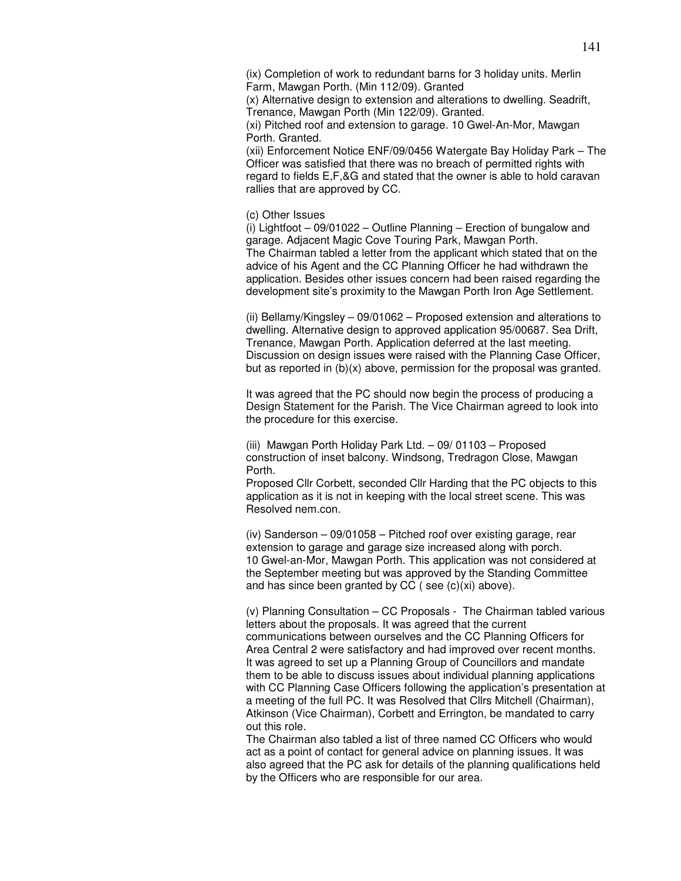(ix) Completion of work to redundant barns for 3 holiday units. Merlin Farm, Mawgan Porth. (Min 112/09). Granted

(x) Alternative design to extension and alterations to dwelling. Seadrift, Trenance, Mawgan Porth (Min 122/09). Granted.

(xi) Pitched roof and extension to garage. 10 Gwel-An-Mor, Mawgan Porth. Granted.

(xii) Enforcement Notice ENF/09/0456 Watergate Bay Holiday Park – The Officer was satisfied that there was no breach of permitted rights with regard to fields E,F,&G and stated that the owner is able to hold caravan rallies that are approved by CC.

(c) Other Issues

(i) Lightfoot – 09/01022 – Outline Planning – Erection of bungalow and garage. Adjacent Magic Cove Touring Park, Mawgan Porth. The Chairman tabled a letter from the applicant which stated that on the advice of his Agent and the CC Planning Officer he had withdrawn the application. Besides other issues concern had been raised regarding the development site's proximity to the Mawgan Porth Iron Age Settlement.

(ii) Bellamy/Kingsley – 09/01062 – Proposed extension and alterations to dwelling. Alternative design to approved application 95/00687. Sea Drift, Trenance, Mawgan Porth. Application deferred at the last meeting. Discussion on design issues were raised with the Planning Case Officer, but as reported in (b)(x) above, permission for the proposal was granted.

It was agreed that the PC should now begin the process of producing a Design Statement for the Parish. The Vice Chairman agreed to look into the procedure for this exercise.

(iii) Mawgan Porth Holiday Park Ltd. – 09/ 01103 – Proposed construction of inset balcony. Windsong, Tredragon Close, Mawgan Porth.

Proposed Cllr Corbett, seconded Cllr Harding that the PC objects to this application as it is not in keeping with the local street scene. This was Resolved nem.con.

(iv) Sanderson  $-09/01058$  – Pitched roof over existing garage, rear extension to garage and garage size increased along with porch. 10 Gwel-an-Mor, Mawgan Porth. This application was not considered at the September meeting but was approved by the Standing Committee and has since been granted by CC ( see (c)(xi) above).

(v) Planning Consultation – CC Proposals - The Chairman tabled various letters about the proposals. It was agreed that the current communications between ourselves and the CC Planning Officers for Area Central 2 were satisfactory and had improved over recent months. It was agreed to set up a Planning Group of Councillors and mandate them to be able to discuss issues about individual planning applications with CC Planning Case Officers following the application's presentation at a meeting of the full PC. It was Resolved that Cllrs Mitchell (Chairman), Atkinson (Vice Chairman), Corbett and Errington, be mandated to carry out this role.

The Chairman also tabled a list of three named CC Officers who would act as a point of contact for general advice on planning issues. It was also agreed that the PC ask for details of the planning qualifications held by the Officers who are responsible for our area.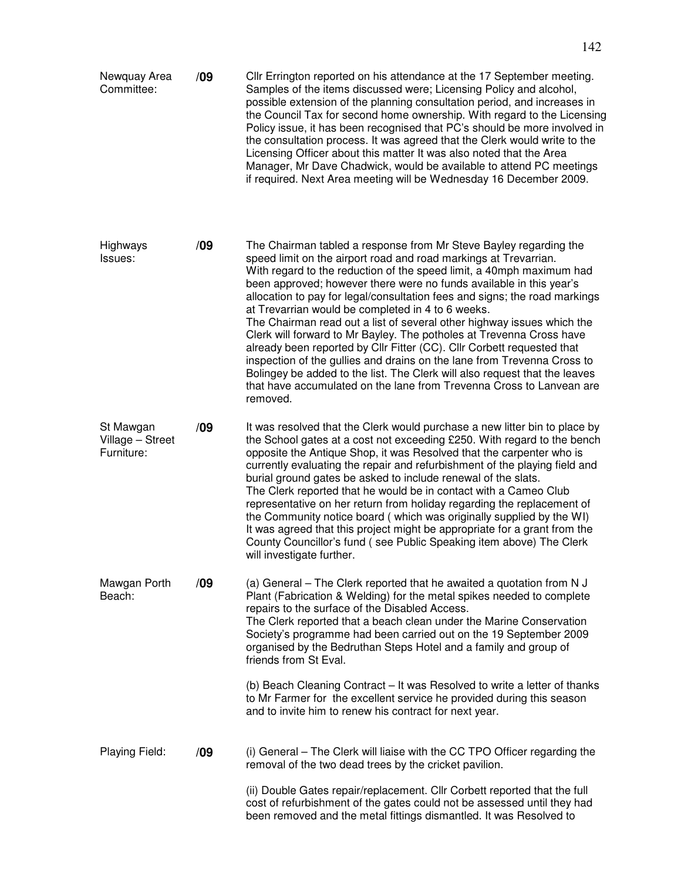Newquay Area Committee: **/09** Cllr Errington reported on his attendance at the 17 September meeting. Samples of the items discussed were; Licensing Policy and alcohol, possible extension of the planning consultation period, and increases in the Council Tax for second home ownership. With regard to the Licensing Policy issue, it has been recognised that PC's should be more involved in the consultation process. It was agreed that the Clerk would write to the Licensing Officer about this matter It was also noted that the Area Manager, Mr Dave Chadwick, would be available to attend PC meetings if required. Next Area meeting will be Wednesday 16 December 2009.

Highways Issues: **/09** The Chairman tabled a response from Mr Steve Bayley regarding the speed limit on the airport road and road markings at Trevarrian. With regard to the reduction of the speed limit, a 40mph maximum had been approved; however there were no funds available in this year's allocation to pay for legal/consultation fees and signs; the road markings at Trevarrian would be completed in 4 to 6 weeks. The Chairman read out a list of several other highway issues which the Clerk will forward to Mr Bayley. The potholes at Trevenna Cross have already been reported by Cllr Fitter (CC). Cllr Corbett requested that inspection of the gullies and drains on the lane from Trevenna Cross to Bolingey be added to the list. The Clerk will also request that the leaves that have accumulated on the lane from Trevenna Cross to Lanvean are removed.

St Mawgan Village – Street Furniture: **/09** It was resolved that the Clerk would purchase a new litter bin to place by the School gates at a cost not exceeding £250. With regard to the bench opposite the Antique Shop, it was Resolved that the carpenter who is currently evaluating the repair and refurbishment of the playing field and burial ground gates be asked to include renewal of the slats. The Clerk reported that he would be in contact with a Cameo Club representative on her return from holiday regarding the replacement of the Community notice board ( which was originally supplied by the WI) It was agreed that this project might be appropriate for a grant from the County Councillor's fund ( see Public Speaking item above) The Clerk will investigate further.

## Mawgan Porth Beach: **/09** (a) General – The Clerk reported that he awaited a quotation from N J Plant (Fabrication & Welding) for the metal spikes needed to complete repairs to the surface of the Disabled Access. The Clerk reported that a beach clean under the Marine Conservation Society's programme had been carried out on the 19 September 2009 organised by the Bedruthan Steps Hotel and a family and group of friends from St Eval. (b) Beach Cleaning Contract – It was Resolved to write a letter of thanks to Mr Farmer for the excellent service he provided during this season

Playing Field: **/09** (i) General – The Clerk will liaise with the CC TPO Officer regarding the removal of the two dead trees by the cricket pavilion.

and to invite him to renew his contract for next year.

(ii) Double Gates repair/replacement. Cllr Corbett reported that the full cost of refurbishment of the gates could not be assessed until they had been removed and the metal fittings dismantled. It was Resolved to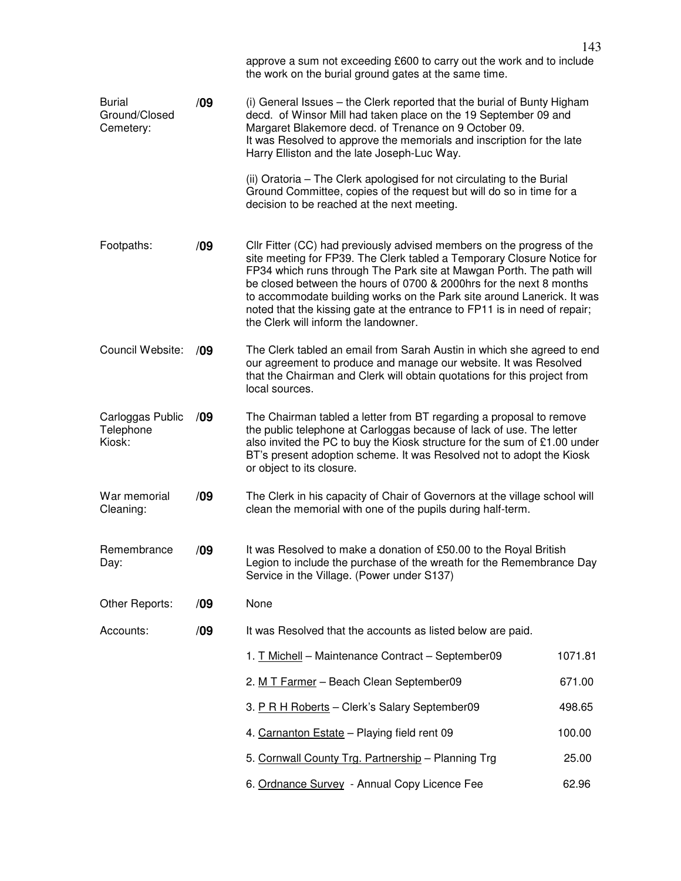|                                             |     | approve a sum not exceeding £600 to carry out the work and to include<br>the work on the burial ground gates at the same time.                                                                                                                                                                                                                                                                                                                                                                 |         |  |
|---------------------------------------------|-----|------------------------------------------------------------------------------------------------------------------------------------------------------------------------------------------------------------------------------------------------------------------------------------------------------------------------------------------------------------------------------------------------------------------------------------------------------------------------------------------------|---------|--|
| <b>Burial</b><br>Ground/Closed<br>Cemetery: | /09 | (i) General Issues – the Clerk reported that the burial of Bunty Higham<br>decd. of Winsor Mill had taken place on the 19 September 09 and<br>Margaret Blakemore decd. of Trenance on 9 October 09.<br>It was Resolved to approve the memorials and inscription for the late<br>Harry Elliston and the late Joseph-Luc Way.                                                                                                                                                                    |         |  |
|                                             |     | (ii) Oratoria – The Clerk apologised for not circulating to the Burial<br>Ground Committee, copies of the request but will do so in time for a<br>decision to be reached at the next meeting.                                                                                                                                                                                                                                                                                                  |         |  |
| Footpaths:                                  | /09 | Cllr Fitter (CC) had previously advised members on the progress of the<br>site meeting for FP39. The Clerk tabled a Temporary Closure Notice for<br>FP34 which runs through The Park site at Mawgan Porth. The path will<br>be closed between the hours of 0700 & 2000hrs for the next 8 months<br>to accommodate building works on the Park site around Lanerick. It was<br>noted that the kissing gate at the entrance to FP11 is in need of repair;<br>the Clerk will inform the landowner. |         |  |
| Council Website:                            | /09 | The Clerk tabled an email from Sarah Austin in which she agreed to end<br>our agreement to produce and manage our website. It was Resolved<br>that the Chairman and Clerk will obtain quotations for this project from<br>local sources.                                                                                                                                                                                                                                                       |         |  |
| Carloggas Public<br>Telephone<br>Kiosk:     | /09 | The Chairman tabled a letter from BT regarding a proposal to remove<br>the public telephone at Carloggas because of lack of use. The letter<br>also invited the PC to buy the Kiosk structure for the sum of £1.00 under<br>BT's present adoption scheme. It was Resolved not to adopt the Kiosk<br>or object to its closure.                                                                                                                                                                  |         |  |
| War memorial<br>Cleaning:                   | /09 | The Clerk in his capacity of Chair of Governors at the village school will<br>clean the memorial with one of the pupils during half-term.                                                                                                                                                                                                                                                                                                                                                      |         |  |
| Remembrance<br>Day:                         | /09 | It was Resolved to make a donation of £50.00 to the Royal British<br>Legion to include the purchase of the wreath for the Remembrance Day<br>Service in the Village. (Power under S137)                                                                                                                                                                                                                                                                                                        |         |  |
| Other Reports:                              | /09 | None                                                                                                                                                                                                                                                                                                                                                                                                                                                                                           |         |  |
| Accounts:                                   | /09 | It was Resolved that the accounts as listed below are paid.                                                                                                                                                                                                                                                                                                                                                                                                                                    |         |  |
|                                             |     | 1. T Michell - Maintenance Contract - September09                                                                                                                                                                                                                                                                                                                                                                                                                                              | 1071.81 |  |
|                                             |     | 2. M T Farmer - Beach Clean September09                                                                                                                                                                                                                                                                                                                                                                                                                                                        | 671.00  |  |
|                                             |     | 3. P R H Roberts - Clerk's Salary September09                                                                                                                                                                                                                                                                                                                                                                                                                                                  | 498.65  |  |
|                                             |     | 4. Carnanton Estate - Playing field rent 09                                                                                                                                                                                                                                                                                                                                                                                                                                                    | 100.00  |  |
|                                             |     | 5. Cornwall County Trg. Partnership - Planning Trg                                                                                                                                                                                                                                                                                                                                                                                                                                             | 25.00   |  |
|                                             |     | 6. Ordnance Survey - Annual Copy Licence Fee                                                                                                                                                                                                                                                                                                                                                                                                                                                   | 62.96   |  |

143